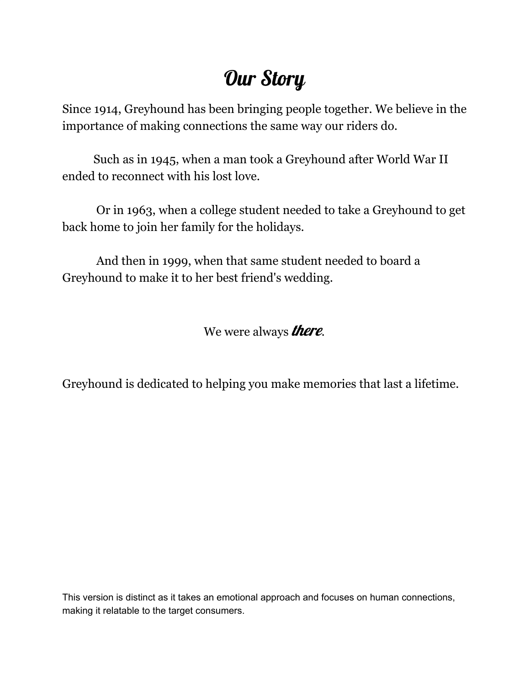# Our Story

Since 1914, Greyhound has been bringing people together. We believe in the importance of making connections the same way our riders do.

Such as in 1945, when a man took a Greyhound after World War II ended to reconnect with his lost love.

Or in 1963, when a college student needed to take a Greyhound to get back home to join her family for the holidays.

And then in 1999, when that same student needed to board a Greyhound to make it to her best friend's wedding.

We were always **there**.

Greyhound is dedicated to helping you make memories that last a lifetime.

This version is distinct as it takes an emotional approach and focuses on human connections, making it relatable to the target consumers.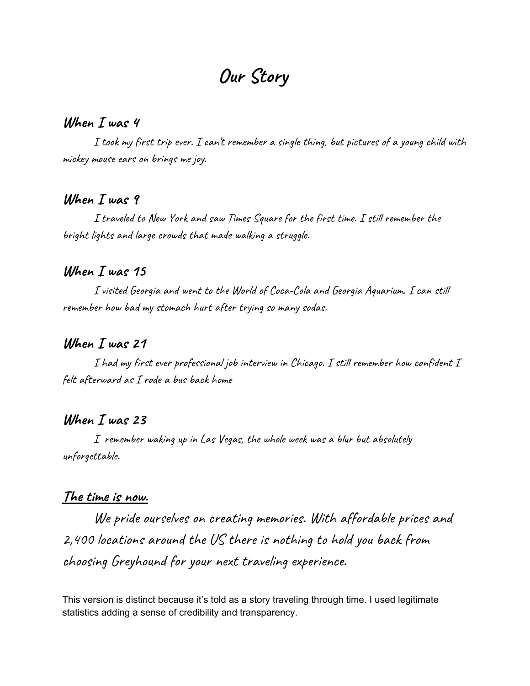## **Our Story**

#### **When I was 4**

I took my first trip ever. I can't remember a single thing, but pictures of a young child with mickey mouse ears on brings me joy.

### **When I was 9**

I traveled to New York and saw Times Square for the first time. I still remember the bright lights and large crowds that made walking a struggle.

## **When I was 15**

I visited Georgia and went to the World of Coca-Cola and Georgia Aquarium. I can still remember how bad my stomach hurt after trying so many sodas.

### **When I was 21**

I had my first ever professional job interview in Chicago. I still remember how confident I felt afterward as I rode a bus back home

### **When I was 23**

I remember waking up in Las Vegas, the whole week was a blur but absolutely unforgettable.

#### **The time is now.**

We pride ourselves on creating memories. With affordable prices and 2,400 locations around the US there is nothing to hold you back from choosing Greyhound for your next traveling experience.

This version is distinct because it's told as a story traveling through time. I used legitimate statistics adding a sense of credibility and transparency.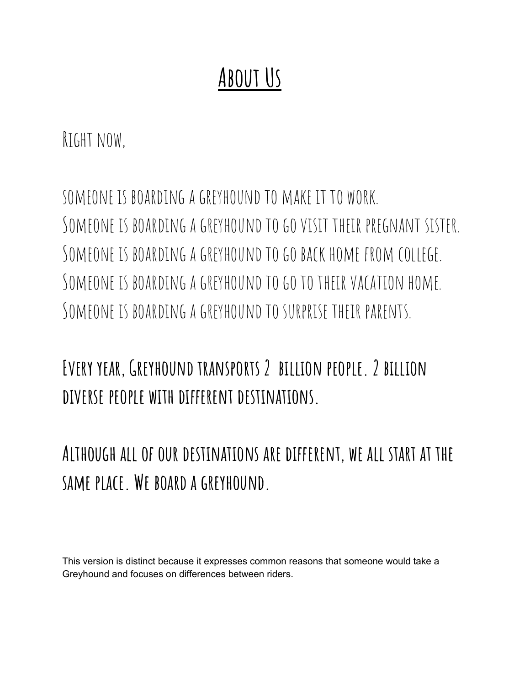# **About Us**

Right now,

someone is boarding a greyhoundto make it to work. SOMEONE IS BOARDING A GREYHOUND TO GO VISIT THEIR PREGNANT SISTER. SOMEONE IS BOARDING A GREYHOUND TO GO BACK HOME FROM COLLEGE. Someone is boarding a greyhoundtogototheirvacation home. SOMEONE IS BOARDING A GREYHOUND TO SURPRISE THEIR PARENTS.

**Every year,Greyhound transports 2 billion people. 2 billion diverse people with different destinations.**

**Although all of our destinations are different, we all start at the same place. We board a greyhound.**

This version is distinct because it expresses common reasons that someone would take a Greyhound and focuses on differences between riders.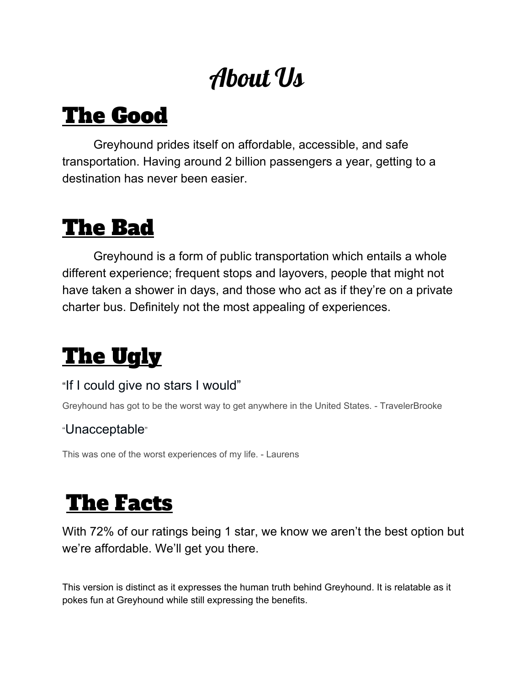# About Us

# The Good

Greyhound prides itself on affordable, accessible, and safe transportation. Having around 2 billion passengers a year, getting to a destination has never been easier.

# The Bad

Greyhound is a form of public transportation which entails a whole different experience; frequent stops and layovers, people that might not have taken a shower in days, and those who act as if they're on a private charter bus. Definitely not the most appealing of experiences.

# The Ugly

## "[If I could give no stars I would"](https://www.tripadvisor.com/ShowUserReviews-g191-d10539000-r716439105-Greyhound-United_States.html)

Greyhound has got to be the worst way to get anywhere in the United States. - TravelerBrooke

## "[Unacceptable](https://www.tripadvisor.com/ShowUserReviews-g191-d10539000-r715062522-Greyhound-United_States.html)"

This was one of the worst experiences of my life. - Laurens

# The Facts

With 72% of our ratings being 1 star, we know we aren't the best option but we're affordable. We'll get you there.

This version is distinct as it expresses the human truth behind Greyhound. It is relatable as it pokes fun at Greyhound while still expressing the benefits.